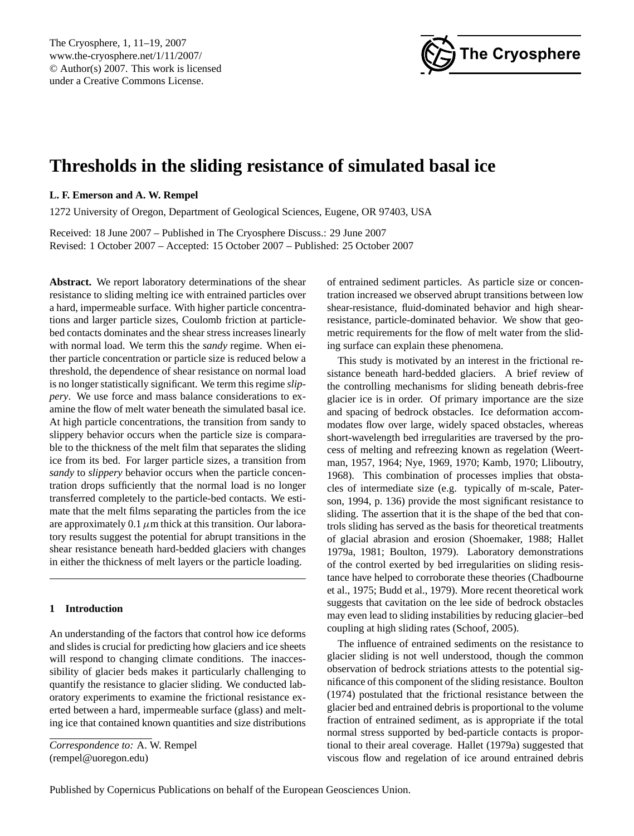

# <span id="page-0-0"></span>**Thresholds in the sliding resistance of simulated basal ice**

# **L. F. Emerson and A. W. Rempel**

1272 University of Oregon, Department of Geological Sciences, Eugene, OR 97403, USA

Received: 18 June 2007 – Published in The Cryosphere Discuss.: 29 June 2007 Revised: 1 October 2007 – Accepted: 15 October 2007 – Published: 25 October 2007

**Abstract.** We report laboratory determinations of the shear resistance to sliding melting ice with entrained particles over a hard, impermeable surface. With higher particle concentrations and larger particle sizes, Coulomb friction at particlebed contacts dominates and the shear stress increases linearly with normal load. We term this the *sandy* regime. When either particle concentration or particle size is reduced below a threshold, the dependence of shear resistance on normal load is no longer statistically significant. We term this regime *slippery*. We use force and mass balance considerations to examine the flow of melt water beneath the simulated basal ice. At high particle concentrations, the transition from sandy to slippery behavior occurs when the particle size is comparable to the thickness of the melt film that separates the sliding ice from its bed. For larger particle sizes, a transition from *sandy* to *slippery* behavior occurs when the particle concentration drops sufficiently that the normal load is no longer transferred completely to the particle-bed contacts. We estimate that the melt films separating the particles from the ice are approximately 0.1  $\mu$ m thick at this transition. Our laboratory results suggest the potential for abrupt transitions in the shear resistance beneath hard-bedded glaciers with changes in either the thickness of melt layers or the particle loading.

# **1 Introduction**

An understanding of the factors that control how ice deforms and slides is crucial for predicting how glaciers and ice sheets will respond to changing climate conditions. The inaccessibility of glacier beds makes it particularly challenging to quantify the resistance to glacier sliding. We conducted laboratory experiments to examine the frictional resistance exerted between a hard, impermeable surface (glass) and melting ice that contained known quantities and size distributions

*Correspondence to:* A. W. Rempel (rempel@uoregon.edu)

of entrained sediment particles. As particle size or concentration increased we observed abrupt transitions between low shear-resistance, fluid-dominated behavior and high shearresistance, particle-dominated behavior. We show that geometric requirements for the flow of melt water from the sliding surface can explain these phenomena.

This study is motivated by an interest in the frictional resistance beneath hard-bedded glaciers. A brief review of the controlling mechanisms for sliding beneath debris-free glacier ice is in order. Of primary importance are the size and spacing of bedrock obstacles. Ice deformation accommodates flow over large, widely spaced obstacles, whereas short-wavelength bed irregularities are traversed by the process of melting and refreezing known as regelation (Weertman, 1957, 1964; Nye, 1969, 1970; Kamb, 1970; Lliboutry, 1968). This combination of processes implies that obstacles of intermediate size (e.g. typically of m-scale, Paterson, 1994, p. 136) provide the most significant resistance to sliding. The assertion that it is the shape of the bed that controls sliding has served as the basis for theoretical treatments of glacial abrasion and erosion (Shoemaker, 1988; Hallet 1979a, 1981; Boulton, 1979). Laboratory demonstrations of the control exerted by bed irregularities on sliding resistance have helped to corroborate these theories (Chadbourne et al., 1975; Budd et al., 1979). More recent theoretical work suggests that cavitation on the lee side of bedrock obstacles may even lead to sliding instabilities by reducing glacier–bed coupling at high sliding rates (Schoof, 2005).

The influence of entrained sediments on the resistance to glacier sliding is not well understood, though the common observation of bedrock striations attests to the potential significance of this component of the sliding resistance. Boulton (1974) postulated that the frictional resistance between the glacier bed and entrained debris is proportional to the volume fraction of entrained sediment, as is appropriate if the total normal stress supported by bed-particle contacts is proportional to their areal coverage. Hallet (1979a) suggested that viscous flow and regelation of ice around entrained debris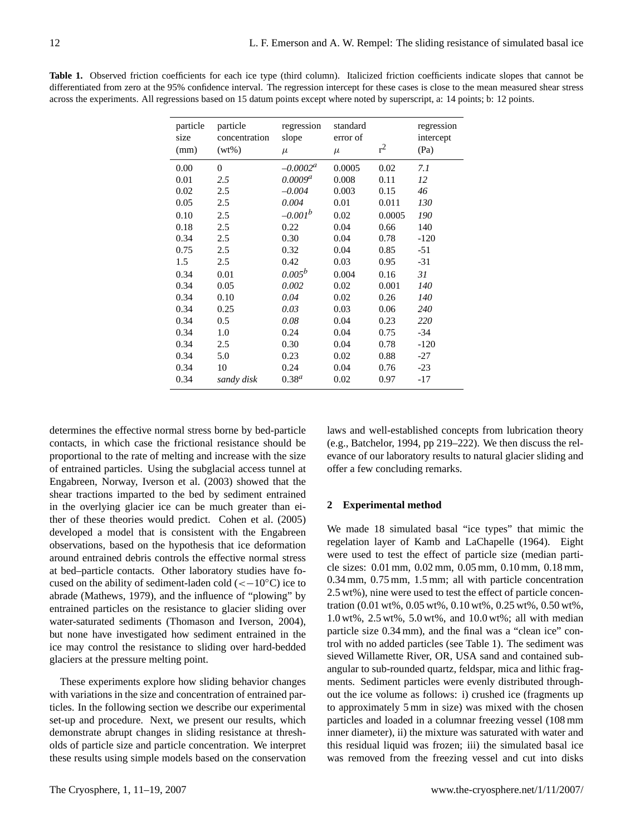| particle<br>size<br>(mm) | particle<br>concentration<br>$(wt\%)$ | regression<br>slope<br>$\mu$ | standard<br>error of<br>$\mu$ | $r^2$  | regression<br>intercept<br>(Pa) |
|--------------------------|---------------------------------------|------------------------------|-------------------------------|--------|---------------------------------|
| 0.00                     | 0                                     | $-0.0002^a$                  | 0.0005                        | 0.02   | 7.1                             |
| 0.01                     | 2.5                                   | 0.0009 <sup>a</sup>          | 0.008                         | 0.11   | 12                              |
| 0.02                     | 2.5                                   | $-0.004$                     | 0.003                         | 0.15   | 46                              |
| 0.05                     | 2.5                                   | 0.004                        | 0.01                          | 0.011  | 130                             |
| 0.10                     | 2.5                                   | $-0.001b$                    | 0.02                          | 0.0005 | 190                             |
| 0.18                     | 2.5                                   | 0.22                         | 0.04                          | 0.66   | 140                             |
| 0.34                     | 2.5                                   | 0.30                         | 0.04                          | 0.78   | $-120$                          |
| 0.75                     | 2.5                                   | 0.32                         | 0.04                          | 0.85   | $-51$                           |
| 1.5                      | 2.5                                   | 0.42                         | 0.03                          | 0.95   | $-31$                           |
| 0.34                     | 0.01                                  | $0.005^b$                    | 0.004                         | 0.16   | 31                              |
| 0.34                     | 0.05                                  | 0.002                        | 0.02                          | 0.001  | 140                             |
| 0.34                     | 0.10                                  | 0.04                         | 0.02                          | 0.26   | 140                             |
| 0.34                     | 0.25                                  | 0.03                         | 0.03                          | 0.06   | 240                             |
| 0.34                     | 0.5                                   | 0.08                         | 0.04                          | 0.23   | 220                             |
| 0.34                     | 1.0                                   | 0.24                         | 0.04                          | 0.75   | $-34$                           |
| 0.34                     | 2.5                                   | 0.30                         | 0.04                          | 0.78   | $-120$                          |
| 0.34                     | 5.0                                   | 0.23                         | 0.02                          | 0.88   | $-27$                           |
| 0.34                     | 10                                    | 0.24                         | 0.04                          | 0.76   | $-23$                           |
| 0.34                     | sandy disk                            | $0.38^{a}$                   | 0.02                          | 0.97   | $-17$                           |
|                          |                                       |                              |                               |        |                                 |

**Table 1.** Observed friction coefficients for each ice type (third column). Italicized friction coefficients indicate slopes that cannot be differentiated from zero at the 95% confidence interval. The regression intercept for these cases is close to the mean measured shear stress across the experiments. All regressions based on 15 datum points except where noted by superscript, a: 14 points; b: 12 points.

determines the effective normal stress borne by bed-particle contacts, in which case the frictional resistance should be proportional to the rate of melting and increase with the size of entrained particles. Using the subglacial access tunnel at Engabreen, Norway, Iverson et al. (2003) showed that the shear tractions imparted to the bed by sediment entrained in the overlying glacier ice can be much greater than either of these theories would predict. Cohen et al. (2005) developed a model that is consistent with the Engabreen observations, based on the hypothesis that ice deformation around entrained debris controls the effective normal stress at bed–particle contacts. Other laboratory studies have focused on the ability of sediment-laden cold ( $<-10°C$ ) ice to abrade (Mathews, 1979), and the influence of "plowing" by entrained particles on the resistance to glacier sliding over water-saturated sediments (Thomason and Iverson, 2004), but none have investigated how sediment entrained in the ice may control the resistance to sliding over hard-bedded glaciers at the pressure melting point.

These experiments explore how sliding behavior changes with variations in the size and concentration of entrained particles. In the following section we describe our experimental set-up and procedure. Next, we present our results, which demonstrate abrupt changes in sliding resistance at thresholds of particle size and particle concentration. We interpret these results using simple models based on the conservation laws and well-established concepts from lubrication theory (e.g., Batchelor, 1994, pp 219–222). We then discuss the relevance of our laboratory results to natural glacier sliding and offer a few concluding remarks.

#### **2 Experimental method**

We made 18 simulated basal "ice types" that mimic the regelation layer of Kamb and LaChapelle (1964). Eight were used to test the effect of particle size (median particle sizes: 0.01 mm, 0.02 mm, 0.05 mm, 0.10 mm, 0.18 mm, 0.34 mm, 0.75 mm, 1.5 mm; all with particle concentration 2.5 wt%), nine were used to test the effect of particle concentration (0.01 wt%, 0.05 wt%, 0.10 wt%, 0.25 wt%, 0.50 wt%, 1.0 wt%, 2.5 wt%, 5.0 wt%, and 10.0 wt%; all with median particle size 0.34 mm), and the final was a "clean ice" control with no added particles (see Table 1). The sediment was sieved Willamette River, OR, USA sand and contained subangular to sub-rounded quartz, feldspar, mica and lithic fragments. Sediment particles were evenly distributed throughout the ice volume as follows: i) crushed ice (fragments up to approximately 5 mm in size) was mixed with the chosen particles and loaded in a columnar freezing vessel (108 mm inner diameter), ii) the mixture was saturated with water and this residual liquid was frozen; iii) the simulated basal ice was removed from the freezing vessel and cut into disks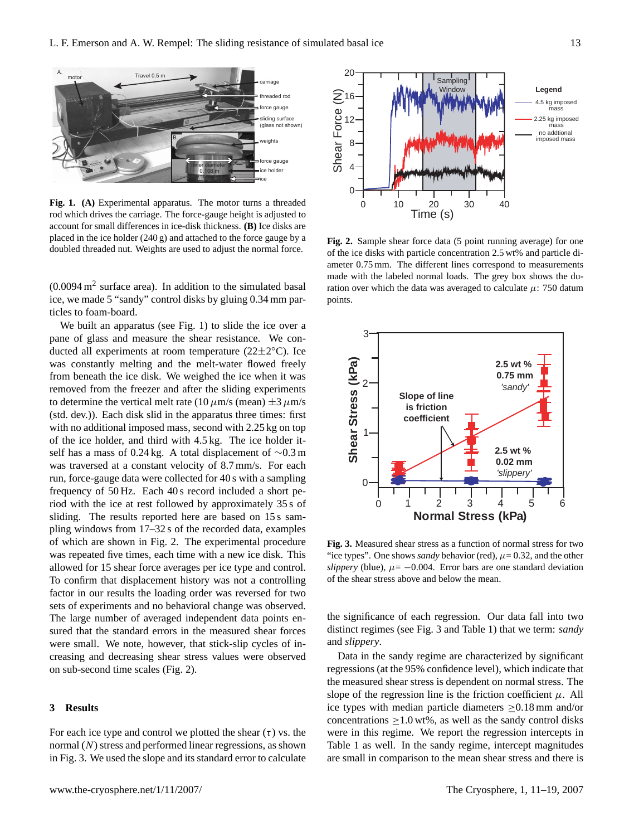

**Fig. 1. (A)** Experimental apparatus. The motor turns a threaded rod which drives the carriage. The force-gauge height is adjusted to account for small differences in ice-disk thickness. **(B)** Ice disks are placed in the ice holder (240 g) and attached to the force gauge by a doubled threaded nut. Weights are used to adjust the normal force.

 $(0.0094 \text{ m}^2 \text{ surface area})$ . In addition to the simulated basal ice, we made 5 "sandy" control disks by gluing 0.34 mm particles to foam-board.

We built an apparatus (see Fig. 1) to slide the ice over a pane of glass and measure the shear resistance. We conducted all experiments at room temperature  $(22 \pm 2^{\circ}C)$ . Ice was constantly melting and the melt-water flowed freely from beneath the ice disk. We weighed the ice when it was removed from the freezer and after the sliding experiments to determine the vertical melt rate (10  $\mu$ m/s (mean)  $\pm 3 \mu$ m/s (std. dev.)). Each disk slid in the apparatus three times: first with no additional imposed mass, second with 2.25 kg on top of the ice holder, and third with 4.5 kg. The ice holder itself has a mass of 0.24 kg. A total displacement of ∼0.3 m was traversed at a constant velocity of 8.7 mm/s. For each run, force-gauge data were collected for 40 s with a sampling frequency of 50 Hz. Each 40 s record included a short period with the ice at rest followed by approximately 35 s of sliding. The results reported here are based on 15 s sampling windows from 17–32 s of the recorded data, examples of which are shown in Fig. 2. The experimental procedure was repeated five times, each time with a new ice disk. This allowed for 15 shear force averages per ice type and control. To confirm that displacement history was not a controlling factor in our results the loading order was reversed for two sets of experiments and no behavioral change was observed. The large number of averaged independent data points ensured that the standard errors in the measured shear forces were small. We note, however, that stick-slip cycles of increasing and decreasing shear stress values were observed on sub-second time scales (Fig. 2).

# **3 Results**

For each ice type and control we plotted the shear  $(\tau)$  vs. the normal (N) stress and performed linear regressions, as shown in Fig. 3. We used the slope and its standard error to calculate



**Fig. 2.** Sample shear force data (5 point running average) for one of the ice disks with particle concentration 2.5 wt% and particle diameter 0.75 mm. The different lines correspond to measurements made with the labeled normal loads. The grey box shows the duration over which the data was averaged to calculate  $\mu$ : 750 datum points.



**Fig. 3.** Measured shear stress as a function of normal stress for two "ice types". One shows *sandy* behavior (red),  $\mu$  = 0.32, and the other *slippery* (blue),  $\mu$  = −0.004. Error bars are one standard deviation of the shear stress above and below the mean.

the significance of each regression. Our data fall into two distinct regimes (see Fig. 3 and Table 1) that we term: *sandy* and *slippery*.

Data in the sandy regime are characterized by significant regressions (at the 95% confidence level), which indicate that the measured shear stress is dependent on normal stress. The slope of the regression line is the friction coefficient  $\mu$ . All ice types with median particle diameters ≥0.18 mm and/or concentrations  $\geq 1.0$  wt%, as well as the sandy control disks were in this regime. We report the regression intercepts in Table 1 as well. In the sandy regime, intercept magnitudes are small in comparison to the mean shear stress and there is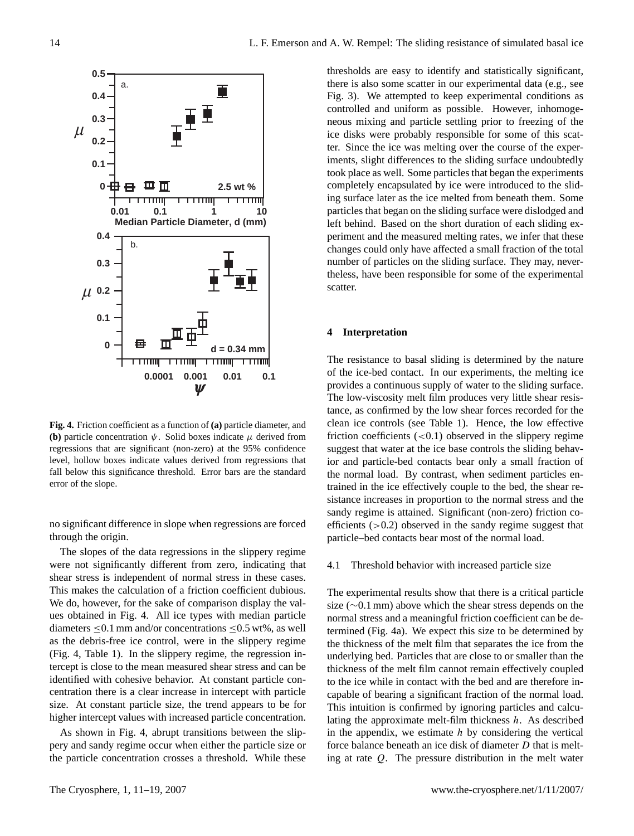

**Fig. 4.** Friction coefficient as a function of **(a)** particle diameter, and **(b)** particle concentration  $\psi$ . Solid boxes indicate  $\mu$  derived from regressions that are significant (non-zero) at the 95% confidence level, hollow boxes indicate values derived from regressions that fall below this significance threshold. Error bars are the standard error of the slope.

no significant difference in slope when regressions are forced through the origin.

The slopes of the data regressions in the slippery regime were not significantly different from zero, indicating that shear stress is independent of normal stress in these cases. This makes the calculation of a friction coefficient dubious. We do, however, for the sake of comparison display the values obtained in Fig. 4. All ice types with median particle diameters  $\leq 0.1$  mm and/or concentrations  $\leq 0.5$  wt%, as well as the debris-free ice control, were in the slippery regime (Fig. 4, Table 1). In the slippery regime, the regression intercept is close to the mean measured shear stress and can be identified with cohesive behavior. At constant particle concentration there is a clear increase in intercept with particle size. At constant particle size, the trend appears to be for higher intercept values with increased particle concentration.

As shown in Fig. 4, abrupt transitions between the slippery and sandy regime occur when either the particle size or the particle concentration crosses a threshold. While these thresholds are easy to identify and statistically significant, there is also some scatter in our experimental data (e.g., see Fig. 3). We attempted to keep experimental conditions as controlled and uniform as possible. However, inhomogeneous mixing and particle settling prior to freezing of the ice disks were probably responsible for some of this scatter. Since the ice was melting over the course of the experiments, slight differences to the sliding surface undoubtedly took place as well. Some particles that began the experiments completely encapsulated by ice were introduced to the sliding surface later as the ice melted from beneath them. Some particles that began on the sliding surface were dislodged and left behind. Based on the short duration of each sliding experiment and the measured melting rates, we infer that these changes could only have affected a small fraction of the total number of particles on the sliding surface. They may, nevertheless, have been responsible for some of the experimental scatter.

# **4 Interpretation**

The resistance to basal sliding is determined by the nature of the ice-bed contact. In our experiments, the melting ice provides a continuous supply of water to the sliding surface. The low-viscosity melt film produces very little shear resistance, as confirmed by the low shear forces recorded for the clean ice controls (see Table 1). Hence, the low effective friction coefficients  $(<0.1)$  observed in the slippery regime suggest that water at the ice base controls the sliding behavior and particle-bed contacts bear only a small fraction of the normal load. By contrast, when sediment particles entrained in the ice effectively couple to the bed, the shear resistance increases in proportion to the normal stress and the sandy regime is attained. Significant (non-zero) friction coefficients  $(>0.2)$  observed in the sandy regime suggest that particle–bed contacts bear most of the normal load.

#### 4.1 Threshold behavior with increased particle size

The experimental results show that there is a critical particle size (∼0.1 mm) above which the shear stress depends on the normal stress and a meaningful friction coefficient can be determined (Fig. 4a). We expect this size to be determined by the thickness of the melt film that separates the ice from the underlying bed. Particles that are close to or smaller than the thickness of the melt film cannot remain effectively coupled to the ice while in contact with the bed and are therefore incapable of bearing a significant fraction of the normal load. This intuition is confirmed by ignoring particles and calculating the approximate melt-film thickness  $h$ . As described in the appendix, we estimate  $h$  by considering the vertical force balance beneath an ice disk of diameter D that is melting at rate Q. The pressure distribution in the melt water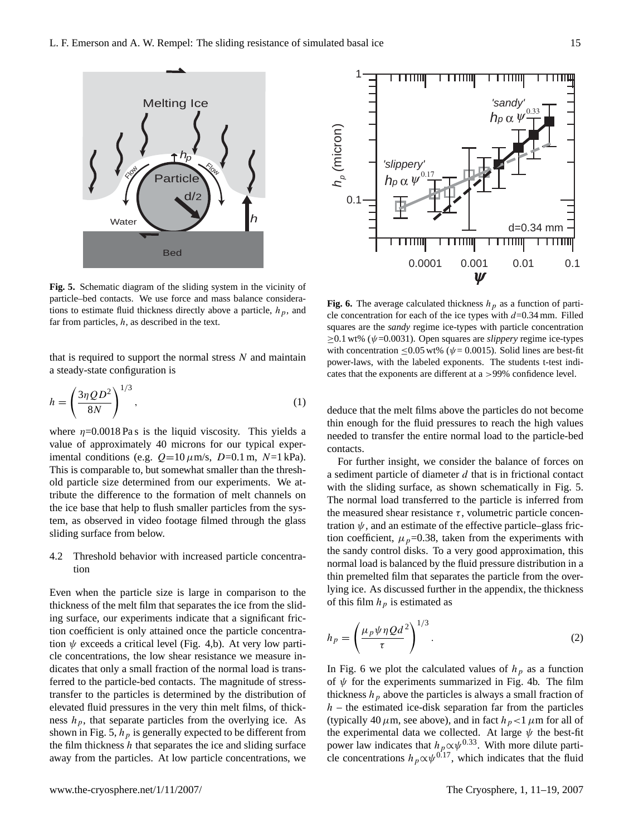

**Fig. 5.** Schematic diagram of the sliding system in the vicinity of particle–bed contacts. We use force and mass balance considerations to estimate fluid thickness directly above a particle,  $h_p$ , and far from particles,  $h$ , as described in the text.

that is required to support the normal stress  $N$  and maintain a steady-state configuration is

$$
h = \left(\frac{3\eta Q D^2}{8N}\right)^{1/3},\tag{1}
$$

where  $\eta = 0.0018 \text{ Pa s}$  is the liquid viscosity. This yields a value of approximately 40 microns for our typical experimental conditions (e.g.  $Q=10 \mu m/s$ ,  $D=0.1 m$ ,  $N=1 kPa$ ). This is comparable to, but somewhat smaller than the threshold particle size determined from our experiments. We attribute the difference to the formation of melt channels on the ice base that help to flush smaller particles from the system, as observed in video footage filmed through the glass sliding surface from below.

# 4.2 Threshold behavior with increased particle concentration

Even when the particle size is large in comparison to the thickness of the melt film that separates the ice from the sliding surface, our experiments indicate that a significant friction coefficient is only attained once the particle concentration  $\psi$  exceeds a critical level (Fig. 4,b). At very low particle concentrations, the low shear resistance we measure indicates that only a small fraction of the normal load is transferred to the particle-bed contacts. The magnitude of stresstransfer to the particles is determined by the distribution of elevated fluid pressures in the very thin melt films, of thickness  $h_p$ , that separate particles from the overlying ice. As shown in Fig. 5,  $h_p$  is generally expected to be different from the film thickness  $h$  that separates the ice and sliding surface away from the particles. At low particle concentrations, we



**Fig. 6.** The average calculated thickness  $h_p$  as a function of particle concentration for each of the ice types with  $d=0.34$  mm. Filled squares are the *sandy* regime ice-types with particle concentration  $\geq$ 0.1 wt% ( $\psi$ =0.0031). Open squares are *slippery* regime ice-types with concentration <0.05 wt% ( $\psi$  = 0.0015). Solid lines are best-fit power-laws, with the labeled exponents. The students t-test indicates that the exponents are different at a >99% confidence level.

deduce that the melt films above the particles do not become thin enough for the fluid pressures to reach the high values needed to transfer the entire normal load to the particle-bed contacts.

For further insight, we consider the balance of forces on a sediment particle of diameter  $d$  that is in frictional contact with the sliding surface, as shown schematically in Fig. 5. The normal load transferred to the particle is inferred from the measured shear resistance  $\tau$ , volumetric particle concentration  $\psi$ , and an estimate of the effective particle–glass friction coefficient,  $\mu_p$ =0.38, taken from the experiments with the sandy control disks. To a very good approximation, this normal load is balanced by the fluid pressure distribution in a thin premelted film that separates the particle from the overlying ice. As discussed further in the appendix, the thickness of this film  $h_p$  is estimated as

$$
h_p = \left(\frac{\mu_p \psi \eta Q d^2}{\tau}\right)^{1/3}.
$$
 (2)

In Fig. 6 we plot the calculated values of  $h_p$  as a function of  $\psi$  for the experiments summarized in Fig. 4b. The film thickness  $h<sub>p</sub>$  above the particles is always a small fraction of  $h$  – the estimated ice-disk separation far from the particles (typically 40  $\mu$ m, see above), and in fact  $h_p < 1 \mu$ m for all of the experimental data we collected. At large  $\psi$  the best-fit power law indicates that  $h_p \propto \psi^{0.33}$ . With more dilute particle concentrations  $h_p \propto \psi^{0.17}$ , which indicates that the fluid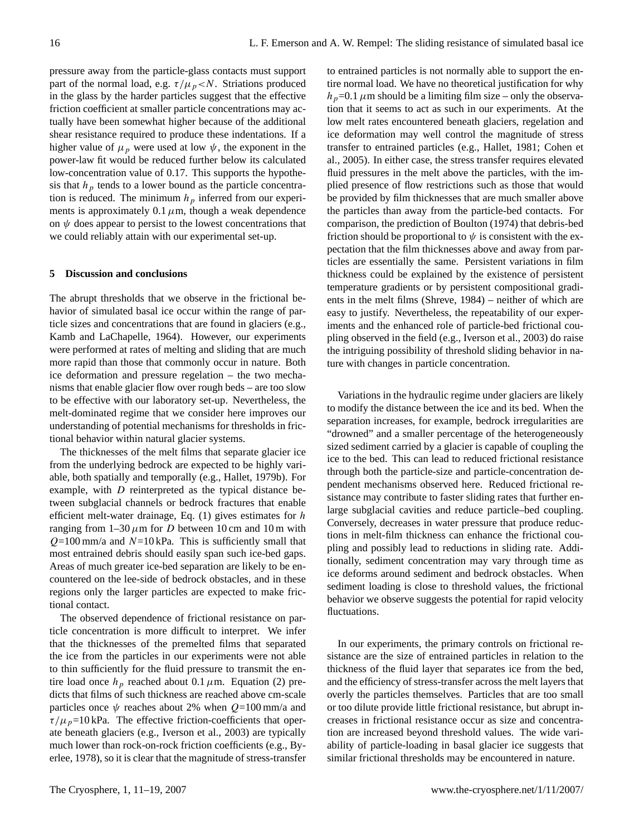pressure away from the particle-glass contacts must support part of the normal load, e.g.  $\tau/\mu_p < N$ . Striations produced in the glass by the harder particles suggest that the effective friction coefficient at smaller particle concentrations may actually have been somewhat higher because of the additional shear resistance required to produce these indentations. If a higher value of  $\mu_p$  were used at low  $\psi$ , the exponent in the power-law fit would be reduced further below its calculated low-concentration value of 0.17. This supports the hypothesis that  $h_p$  tends to a lower bound as the particle concentration is reduced. The minimum  $h<sub>p</sub>$  inferred from our experiments is approximately 0.1  $\mu$ m, though a weak dependence on  $\psi$  does appear to persist to the lowest concentrations that we could reliably attain with our experimental set-up.

## **5 Discussion and conclusions**

The abrupt thresholds that we observe in the frictional behavior of simulated basal ice occur within the range of particle sizes and concentrations that are found in glaciers (e.g., Kamb and LaChapelle, 1964). However, our experiments were performed at rates of melting and sliding that are much more rapid than those that commonly occur in nature. Both ice deformation and pressure regelation – the two mechanisms that enable glacier flow over rough beds – are too slow to be effective with our laboratory set-up. Nevertheless, the melt-dominated regime that we consider here improves our understanding of potential mechanisms for thresholds in frictional behavior within natural glacier systems.

The thicknesses of the melt films that separate glacier ice from the underlying bedrock are expected to be highly variable, both spatially and temporally (e.g., Hallet, 1979b). For example, with D reinterpreted as the typical distance between subglacial channels or bedrock fractures that enable efficient melt-water drainage, Eq.  $(1)$  gives estimates for h ranging from  $1-30 \mu m$  for D between 10 cm and 10 m with  $Q=100$  mm/a and  $N=10$  kPa. This is sufficiently small that most entrained debris should easily span such ice-bed gaps. Areas of much greater ice-bed separation are likely to be encountered on the lee-side of bedrock obstacles, and in these regions only the larger particles are expected to make frictional contact.

The observed dependence of frictional resistance on particle concentration is more difficult to interpret. We infer that the thicknesses of the premelted films that separated the ice from the particles in our experiments were not able to thin sufficiently for the fluid pressure to transmit the entire load once  $h_p$  reached about 0.1  $\mu$ m. Equation (2) predicts that films of such thickness are reached above cm-scale particles once  $\psi$  reaches about 2% when  $Q=100$  mm/a and  $\tau/\mu_p$ =10 kPa. The effective friction-coefficients that operate beneath glaciers (e.g., Iverson et al., 2003) are typically much lower than rock-on-rock friction coefficients (e.g., Byerlee, 1978), so it is clear that the magnitude of stress-transfer to entrained particles is not normally able to support the entire normal load. We have no theoretical justification for why  $h_p$ =0.1  $\mu$ m should be a limiting film size – only the observation that it seems to act as such in our experiments. At the low melt rates encountered beneath glaciers, regelation and ice deformation may well control the magnitude of stress transfer to entrained particles (e.g., Hallet, 1981; Cohen et al., 2005). In either case, the stress transfer requires elevated fluid pressures in the melt above the particles, with the implied presence of flow restrictions such as those that would be provided by film thicknesses that are much smaller above the particles than away from the particle-bed contacts. For comparison, the prediction of Boulton (1974) that debris-bed friction should be proportional to  $\psi$  is consistent with the expectation that the film thicknesses above and away from particles are essentially the same. Persistent variations in film thickness could be explained by the existence of persistent temperature gradients or by persistent compositional gradients in the melt films (Shreve, 1984) – neither of which are easy to justify. Nevertheless, the repeatability of our experiments and the enhanced role of particle-bed frictional coupling observed in the field (e.g., Iverson et al., 2003) do raise the intriguing possibility of threshold sliding behavior in nature with changes in particle concentration.

Variations in the hydraulic regime under glaciers are likely to modify the distance between the ice and its bed. When the separation increases, for example, bedrock irregularities are "drowned" and a smaller percentage of the heterogeneously sized sediment carried by a glacier is capable of coupling the ice to the bed. This can lead to reduced frictional resistance through both the particle-size and particle-concentration dependent mechanisms observed here. Reduced frictional resistance may contribute to faster sliding rates that further enlarge subglacial cavities and reduce particle–bed coupling. Conversely, decreases in water pressure that produce reductions in melt-film thickness can enhance the frictional coupling and possibly lead to reductions in sliding rate. Additionally, sediment concentration may vary through time as ice deforms around sediment and bedrock obstacles. When sediment loading is close to threshold values, the frictional behavior we observe suggests the potential for rapid velocity fluctuations.

In our experiments, the primary controls on frictional resistance are the size of entrained particles in relation to the thickness of the fluid layer that separates ice from the bed, and the efficiency of stress-transfer across the melt layers that overly the particles themselves. Particles that are too small or too dilute provide little frictional resistance, but abrupt increases in frictional resistance occur as size and concentration are increased beyond threshold values. The wide variability of particle-loading in basal glacier ice suggests that similar frictional thresholds may be encountered in nature.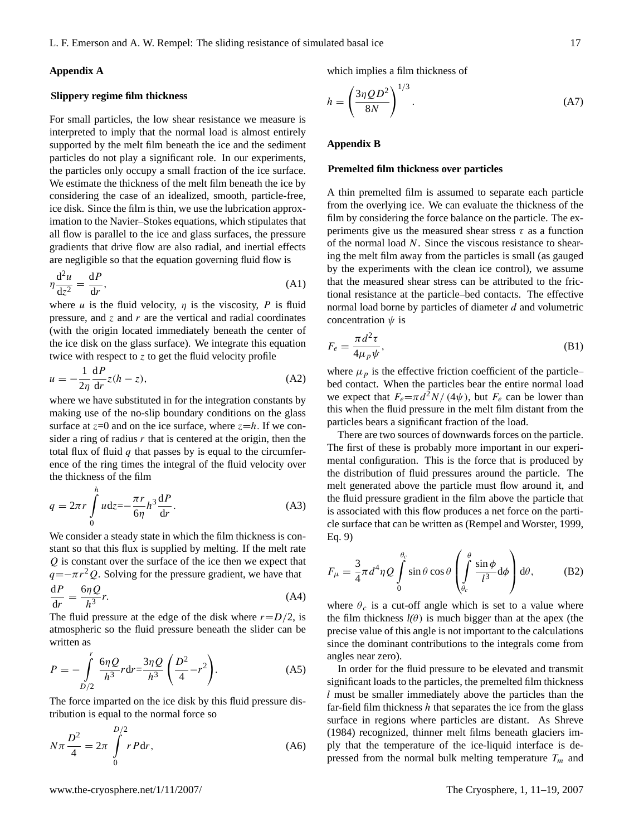## **Appendix A**

#### **Slippery regime film thickness**

For small particles, the low shear resistance we measure is interpreted to imply that the normal load is almost entirely supported by the melt film beneath the ice and the sediment particles do not play a significant role. In our experiments, the particles only occupy a small fraction of the ice surface. We estimate the thickness of the melt film beneath the ice by considering the case of an idealized, smooth, particle-free, ice disk. Since the film is thin, we use the lubrication approximation to the Navier–Stokes equations, which stipulates that all flow is parallel to the ice and glass surfaces, the pressure gradients that drive flow are also radial, and inertial effects are negligible so that the equation governing fluid flow is

$$
\eta \frac{\mathrm{d}^2 u}{\mathrm{d} z^2} = \frac{\mathrm{d} P}{\mathrm{d} r},\tag{A1}
$$

where u is the fluid velocity,  $\eta$  is the viscosity, P is fluid pressure, and  $\zeta$  and  $r$  are the vertical and radial coordinates (with the origin located immediately beneath the center of the ice disk on the glass surface). We integrate this equation twice with respect to z to get the fluid velocity profile

$$
u = -\frac{1}{2\eta} \frac{dP}{dr} z(h - z),
$$
 (A2)

where we have substituted in for the integration constants by making use of the no-slip boundary conditions on the glass surface at  $z=0$  and on the ice surface, where  $z=h$ . If we consider a ring of radius  $r$  that is centered at the origin, then the total flux of fluid  $q$  that passes by is equal to the circumference of the ring times the integral of the fluid velocity over the thickness of the film

$$
q = 2\pi r \int_{0}^{h} u dz = -\frac{\pi r}{6\eta} h^3 \frac{dP}{dr}.
$$
 (A3)

We consider a steady state in which the film thickness is constant so that this flux is supplied by melting. If the melt rate Q is constant over the surface of the ice then we expect that  $q=-\pi r^2 Q$ . Solving for the pressure gradient, we have that  $dP$ dr  $=\frac{6\eta Q}{12}$  $h^3$  $r.$  (A4)

The fluid pressure at the edge of the disk where  $r = D/2$ , is atmospheric so the fluid pressure beneath the slider can be written as

$$
P = -\int_{D/2}^{r} \frac{6\eta Q}{h^3} r dr = \frac{3\eta Q}{h^3} \left(\frac{D^2}{4} - r^2\right).
$$
 (A5)

The force imparted on the ice disk by this fluid pressure distribution is equal to the normal force so

$$
N\pi \frac{D^2}{4} = 2\pi \int_{0}^{D/2} rP dr,
$$
 (A6)

which implies a film thickness of

$$
h = \left(\frac{3\eta QD^2}{8N}\right)^{1/3}.\tag{A7}
$$

## **Appendix B**

#### **Premelted film thickness over particles**

A thin premelted film is assumed to separate each particle from the overlying ice. We can evaluate the thickness of the film by considering the force balance on the particle. The experiments give us the measured shear stress  $\tau$  as a function of the normal load N. Since the viscous resistance to shearing the melt film away from the particles is small (as gauged by the experiments with the clean ice control), we assume that the measured shear stress can be attributed to the frictional resistance at the particle–bed contacts. The effective normal load borne by particles of diameter d and volumetric concentration  $\psi$  is

$$
F_e = \frac{\pi d^2 \tau}{4\mu_p \psi},\tag{B1}
$$

where  $\mu_p$  is the effective friction coefficient of the particle– bed contact. When the particles bear the entire normal load we expect that  $F_e = \pi d^2 N / (4\psi)$ , but  $F_e$  can be lower than this when the fluid pressure in the melt film distant from the particles bears a significant fraction of the load.

There are two sources of downwards forces on the particle. The first of these is probably more important in our experimental configuration. This is the force that is produced by the distribution of fluid pressures around the particle. The melt generated above the particle must flow around it, and the fluid pressure gradient in the film above the particle that is associated with this flow produces a net force on the particle surface that can be written as (Rempel and Worster, 1999, Eq. 9)

$$
F_{\mu} = \frac{3}{4}\pi d^4 \eta Q \int_0^{\theta_c} \sin \theta \cos \theta \left( \int_{\theta_c}^{\theta} \frac{\sin \phi}{l^3} d\phi \right) d\theta, \tag{B2}
$$

where  $\theta_c$  is a cut-off angle which is set to a value where the film thickness  $l(\theta)$  is much bigger than at the apex (the precise value of this angle is not important to the calculations since the dominant contributions to the integrals come from angles near zero).

In order for the fluid pressure to be elevated and transmit significant loads to the particles, the premelted film thickness l must be smaller immediately above the particles than the far-field film thickness  $h$  that separates the ice from the glass surface in regions where particles are distant. As Shreve (1984) recognized, thinner melt films beneath glaciers imply that the temperature of the ice-liquid interface is depressed from the normal bulk melting temperature  $T_m$  and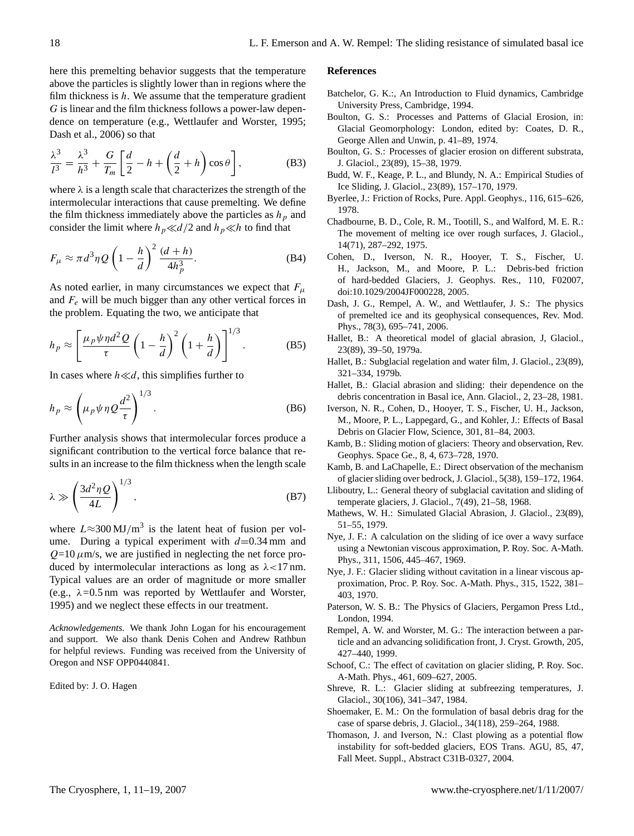here this premelting behavior suggests that the temperature above the particles is slightly lower than in regions where the film thickness is  $h$ . We assume that the temperature gradient G is linear and the film thickness follows a power-law dependence on temperature (e.g., Wettlaufer and Worster, 1995; Dash et al., 2006) so that

$$
\frac{\lambda^3}{l^3} = \frac{\lambda^3}{h^3} + \frac{G}{T_m} \left[ \frac{d}{2} - h + \left( \frac{d}{2} + h \right) \cos \theta \right],
$$
 (B3)

where  $\lambda$  is a length scale that characterizes the strength of the intermolecular interactions that cause premelting. We define the film thickness immediately above the particles as  $h<sub>p</sub>$  and consider the limit where  $h_p \ll d/2$  and  $h_p \ll h$  to find that

$$
F_{\mu} \approx \pi d^3 \eta Q \left( 1 - \frac{h}{d} \right)^2 \frac{(d+h)}{4h_p^3}.
$$
 (B4)

As noted earlier, in many circumstances we expect that  $F_{\mu}$ and  $F_e$  will be much bigger than any other vertical forces in the problem. Equating the two, we anticipate that

$$
h_p \approx \left[\frac{\mu_p \psi \eta d^2 Q}{\tau} \left(1 - \frac{h}{d}\right)^2 \left(1 + \frac{h}{d}\right)\right]^{1/3}.
$$
 (B5)

In cases where  $h \ll d$ , this simplifies further to

$$
h_p \approx \left(\mu_p \psi \eta Q \frac{d^2}{\tau}\right)^{1/3}.
$$
 (B6)

Further analysis shows that intermolecular forces produce a significant contribution to the vertical force balance that results in an increase to the film thickness when the length scale

$$
\lambda \gg \left(\frac{3d^2\eta Q}{4L}\right)^{1/3},\tag{B7}
$$

where  $L \approx 300 \text{ MJ/m}^3$  is the latent heat of fusion per volume. During a typical experiment with  $d=0.34$  mm and  $Q=10 \mu m/s$ , we are justified in neglecting the net force produced by intermolecular interactions as long as  $\lambda$ <17 nm. Typical values are an order of magnitude or more smaller (e.g., λ*=*0.5 nm was reported by Wettlaufer and Worster, 1995) and we neglect these effects in our treatment.

*Acknowledgements.* We thank John Logan for his encouragement and support. We also thank Denis Cohen and Andrew Rathbun for helpful reviews. Funding was received from the University of Oregon and NSF OPP0440841.

Edited by: J. O. Hagen

#### **References**

- Batchelor, G. K.:, An Introduction to Fluid dynamics, Cambridge University Press, Cambridge, 1994.
- Boulton, G. S.: Processes and Patterns of Glacial Erosion, in: Glacial Geomorphology: London, edited by: Coates, D. R., George Allen and Unwin, p. 41–89, 1974.
- Boulton, G. S.: Processes of glacier erosion on different substrata, J. Glaciol., 23(89), 15–38, 1979.
- Budd, W. F., Keage, P. L., and Blundy, N. A.: Empirical Studies of Ice Sliding, J. Glaciol., 23(89), 157–170, 1979.
- Byerlee, J.: Friction of Rocks, Pure. Appl. Geophys., 116, 615–626, 1978.
- Chadbourne, B. D., Cole, R. M., Tootill, S., and Walford, M. E. R.: The movement of melting ice over rough surfaces, J. Glaciol., 14(71), 287–292, 1975.
- Cohen, D., Iverson, N. R., Hooyer, T. S., Fischer, U. H., Jackson, M., and Moore, P. L.: Debris-bed friction of hard-bedded Glaciers, J. Geophys. Res., 110, F02007, doi:10.1029/2004JF000228, 2005.
- Dash, J. G., Rempel, A. W., and Wettlaufer, J. S.: The physics of premelted ice and its geophysical consequences, Rev. Mod. Phys., 78(3), 695–741, 2006.
- Hallet, B.: A theoretical model of glacial abrasion, J, Glaciol., 23(89), 39–50, 1979a.
- Hallet, B.: Subglacial regelation and water film, J. Glaciol., 23(89), 321–334, 1979b.
- Hallet, B.: Glacial abrasion and sliding: their dependence on the debris concentration in Basal ice, Ann. Glaciol., 2, 23–28, 1981.
- Iverson, N. R., Cohen, D., Hooyer, T. S., Fischer, U. H., Jackson, M., Moore, P. L., Lappegard, G., and Kohler, J.: Effects of Basal Debris on Glacier Flow, Science, 301, 81–84, 2003.
- Kamb, B.: Sliding motion of glaciers: Theory and observation, Rev. Geophys. Space Ge., 8, 4, 673–728, 1970.
- Kamb, B. and LaChapelle, E.: Direct observation of the mechanism of glacier sliding over bedrock, J. Glaciol., 5(38), 159–172, 1964.
- Lliboutry, L.: General theory of subglacial cavitation and sliding of temperate glaciers, J. Glaciol., 7(49), 21–58, 1968.
- Mathews, W. H.: Simulated Glacial Abrasion, J. Glaciol., 23(89), 51–55, 1979.
- Nye, J. F.: A calculation on the sliding of ice over a wavy surface using a Newtonian viscous approximation, P. Roy. Soc. A-Math. Phys., 311, 1506, 445–467, 1969.
- Nye, J. F.: Glacier sliding without cavitation in a linear viscous approximation, Proc. P. Roy. Soc. A-Math. Phys., 315, 1522, 381– 403, 1970.
- Paterson, W. S. B.: The Physics of Glaciers, Pergamon Press Ltd., London, 1994.
- Rempel, A. W. and Worster, M. G.: The interaction between a particle and an advancing solidification front, J. Cryst. Growth, 205, 427–440, 1999.
- Schoof, C.: The effect of cavitation on glacier sliding, P. Roy. Soc. A-Math. Phys., 461, 609–627, 2005.
- Shreve, R. L.: Glacier sliding at subfreezing temperatures, J. Glaciol., 30(106), 341–347, 1984.
- Shoemaker, E. M.: On the formulation of basal debris drag for the case of sparse debris, J. Glaciol., 34(118), 259–264, 1988.
- Thomason, J. and Iverson, N.: Clast plowing as a potential flow instability for soft-bedded glaciers, EOS Trans. AGU, 85, 47, Fall Meet. Suppl., Abstract C31B-0327, 2004.